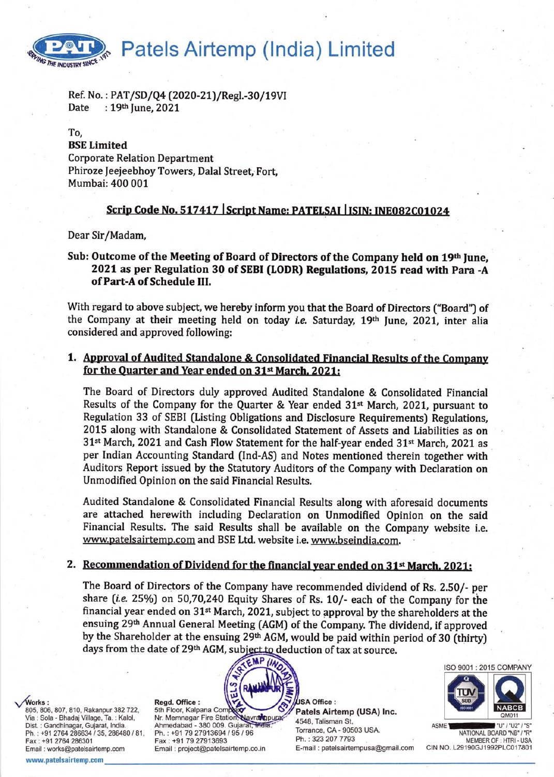Patels Airtemp (India) Limited THE INDUSTRY SINCE

Ref. No.: PAT/SD/Q4 (2020-21)/Regl.-30/19VI Date : 19th June, 2021

#### To.

#### **BSE Limited**

**Corporate Relation Department** Phiroze Jeejeebhoy Towers, Dalal Street, Fort, Mumbai: 400 001

# Scrip Code No. 517417 Script Name: PATELSAI | ISIN: INE082C01024

Dear Sir/Madam,

## Sub: Outcome of the Meeting of Board of Directors of the Company held on 19th June. 2021 as per Regulation 30 of SEBI (LODR) Regulations, 2015 read with Para -A of Part-A of Schedule III.

With regard to above subject, we hereby inform you that the Board of Directors ("Board") of the Company at their meeting held on today *i.e.* Saturday, 19<sup>th</sup> June, 2021, inter alia considered and approved following:

# 1. Approval of Audited Standalone & Consolidated Financial Results of the Company for the Quarter and Year ended on 31<sup>st</sup> March, 2021:

The Board of Directors duly approved Audited Standalone & Consolidated Financial Results of the Company for the Quarter & Year ended 31<sup>st</sup> March, 2021, pursuant to Regulation 33 of SEBI (Listing Obligations and Disclosure Requirements) Regulations. 2015 along with Standalone & Consolidated Statement of Assets and Liabilities as on 31<sup>st</sup> March, 2021 and Cash Flow Statement for the half-year ended 31<sup>st</sup> March, 2021 as per Indian Accounting Standard (Ind-AS) and Notes mentioned therein together with Auditors Report issued by the Statutory Auditors of the Company with Declaration on Unmodified Opinion on the said Financial Results.

Audited Standalone & Consolidated Financial Results along with aforesaid documents are attached herewith including Declaration on Unmodified Opinion on the said Financial Results. The said Results shall be available on the Company website i.e. www.patelsairtemp.com and BSE Ltd. website i.e. www.bseindia.com.

### 2. Recommendation of Dividend for the financial year ended on 31<sup>st</sup> March, 2021:

The Board of Directors of the Company have recommended dividend of Rs. 2.50/- per share (i.e. 25%) on 50,70,240 Equity Shares of Rs. 10/- each of the Company for the financial year ended on 31<sup>st</sup> March, 2021, subject to approval by the shareholders at the ensuing 29th Annual General Meeting (AGM) of the Company. The dividend, if approved by the Shareholder at the ensuing 29th AGM, would be paid within period of 30 (thirty) days from the date of 29th AGM, subject to deduction of tax at source.

Works:

805, 806, 807, 810, Rakanpur 382 722, Via : Sola - Bhadaj Village, Ta. : Kalol, Dist. : Gandhinagar, Gujarat, India. Ph.: +91 2764 286634 / 35, 286480 / 81, Fax: +91 2764 286301 Email: works@patelsairtemp.com

www.patelsairtemp.com

Regd. Office: 5th Floor, Kalpana Con Nr. Memnagar Fire Station Navratopura Ahmedabad - 380 009. Gujarat, India Ph.: +91 79 27913694 / 95 / 96 Fax: +91 79 27913693 Email: project@patelsairtemp.co.in

JSA Office : Patels Airtemp (USA) Inc. 4548, Talisman St. Torrance, CA - 90503 USA. Ph.: 323 207 7793 E-mail: patelsairtempusa@gmail.com ISO 9001 : 2015 COMPANY

NATIONAL BOARD "NB" / "R" MEMBER OF · HTRL-USA CIN NO. L29190GJ1992PLC017801